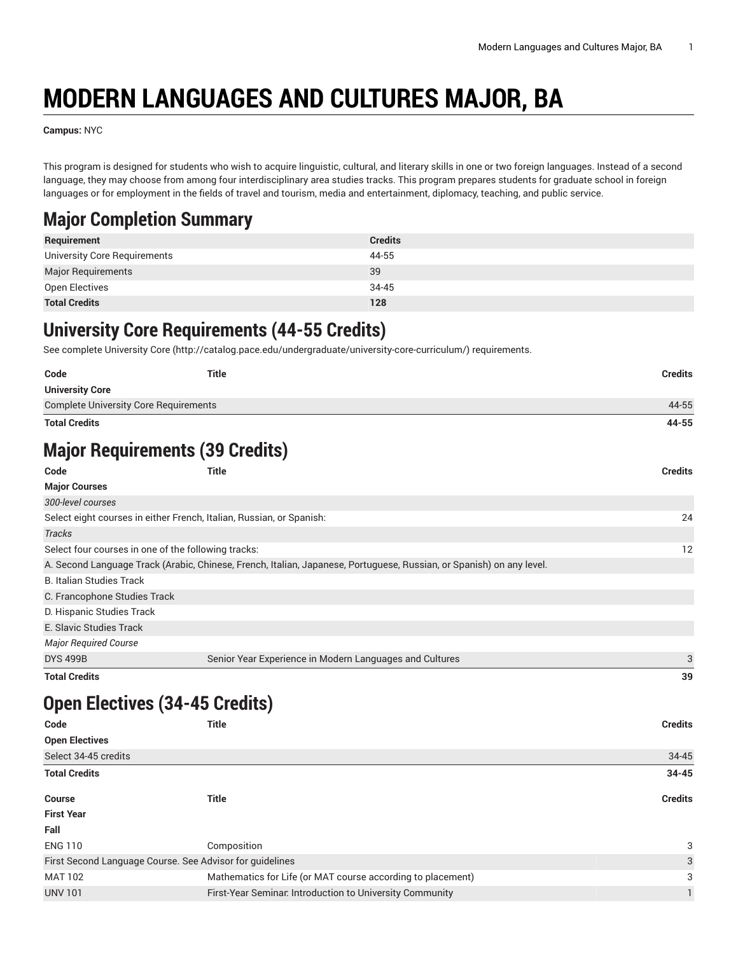## **MODERN LANGUAGES AND CULTURES MAJOR, BA**

**Campus:** NYC

This program is designed for students who wish to acquire linguistic, cultural, and literary skills in one or two foreign languages. Instead of a second language, they may choose from among four interdisciplinary area studies tracks. This program prepares students for graduate school in foreign languages or for employment in the fields of travel and tourism, media and entertainment, diplomacy, teaching, and public service.

## **Major Completion Summary**

| Requirement                  | <b>Credits</b> |
|------------------------------|----------------|
| University Core Requirements | 44-55          |
| Major Requirements           | 39             |
| Open Electives               | 34-45          |
| <b>Total Credits</b>         | 128            |

## **University Core Requirements (44-55 Credits)**

See complete [University](http://catalog.pace.edu/undergraduate/university-core-curriculum/) Core (<http://catalog.pace.edu/undergraduate/university-core-curriculum/>) requirements.

| Code                                         | <b>Title</b>                                                                                                         | <b>Credits</b> |
|----------------------------------------------|----------------------------------------------------------------------------------------------------------------------|----------------|
| <b>University Core</b>                       |                                                                                                                      |                |
| <b>Complete University Core Requirements</b> |                                                                                                                      | 44-55          |
| <b>Total Credits</b>                         |                                                                                                                      | 44-55          |
|                                              | <b>Major Requirements (39 Credits)</b>                                                                               |                |
| Code                                         | <b>Title</b>                                                                                                         | <b>Credits</b> |
| <b>Major Courses</b>                         |                                                                                                                      |                |
| 300-level courses                            |                                                                                                                      |                |
|                                              | Select eight courses in either French, Italian, Russian, or Spanish:                                                 | 24             |
| <b>Tracks</b>                                |                                                                                                                      |                |
|                                              | Select four courses in one of the following tracks:                                                                  | 12             |
|                                              | A. Second Language Track (Arabic, Chinese, French, Italian, Japanese, Portuguese, Russian, or Spanish) on any level. |                |
| <b>B. Italian Studies Track</b>              |                                                                                                                      |                |
| C. Francophone Studies Track                 |                                                                                                                      |                |
| D. Hispanic Studies Track                    |                                                                                                                      |                |
| E. Slavic Studies Track                      |                                                                                                                      |                |
| <b>Major Required Course</b>                 |                                                                                                                      |                |
| <b>DYS 499B</b>                              | Senior Year Experience in Modern Languages and Cultures                                                              | 3              |
| <b>Total Credits</b>                         |                                                                                                                      | 39             |
|                                              | <b>Open Electives (34-45 Credits)</b>                                                                                |                |
| Code                                         | <b>Title</b>                                                                                                         | <b>Credits</b> |
| <b>Open Electives</b>                        |                                                                                                                      |                |
| Select 34-45 credits                         |                                                                                                                      | 34-45          |
| <b>Total Credits</b>                         |                                                                                                                      | $34 - 45$      |
| <b>Course</b>                                | <b>Title</b>                                                                                                         | <b>Credits</b> |
| <b>First Year</b>                            |                                                                                                                      |                |
| <b>CAU</b>                                   |                                                                                                                      |                |

| rall                                                     |                                                             |               |
|----------------------------------------------------------|-------------------------------------------------------------|---------------|
| <b>ENG 110</b>                                           | Composition                                                 | २             |
| First Second Language Course. See Advisor for quidelines |                                                             | $\mathcal{R}$ |
| MAT 102                                                  | Mathematics for Life (or MAT course according to placement) |               |
| <b>UNV 101</b>                                           | First-Year Seminar. Introduction to University Community    |               |
|                                                          |                                                             |               |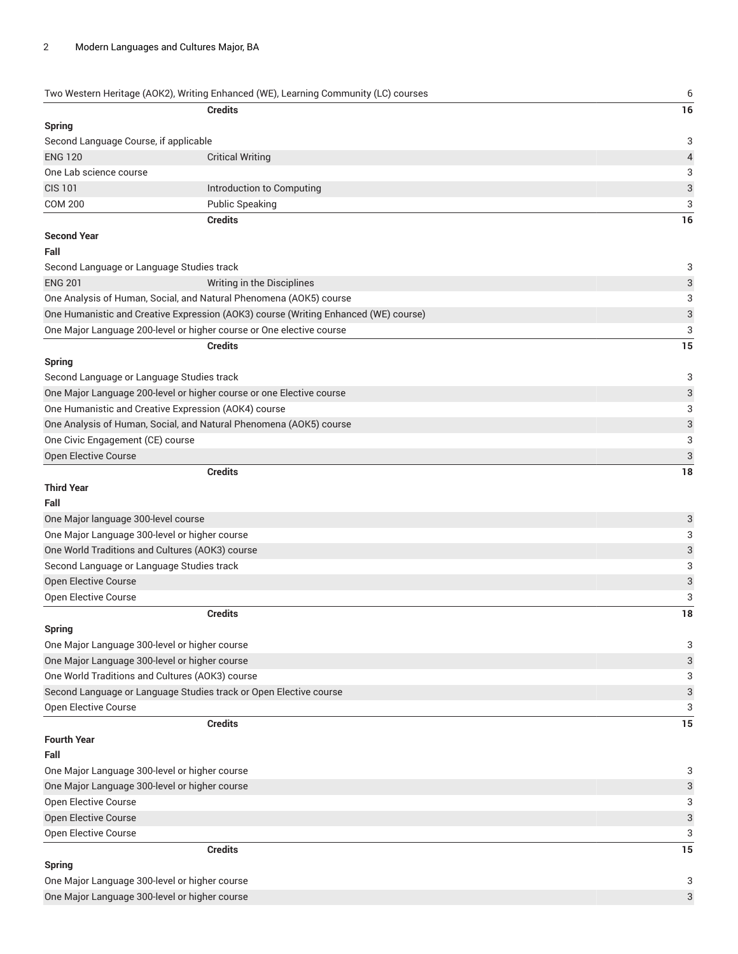|                                               | Two Western Heritage (AOK2), Writing Enhanced (WE), Learning Community (LC) courses | 6                         |
|-----------------------------------------------|-------------------------------------------------------------------------------------|---------------------------|
|                                               | <b>Credits</b>                                                                      | 16                        |
| <b>Spring</b>                                 |                                                                                     |                           |
| Second Language Course, if applicable         |                                                                                     | 3                         |
| <b>ENG 120</b>                                | <b>Critical Writing</b>                                                             | $\overline{a}$            |
| One Lab science course                        |                                                                                     | 3                         |
| <b>CIS 101</b>                                | Introduction to Computing                                                           | 3                         |
| <b>COM 200</b>                                | <b>Public Speaking</b>                                                              | 3                         |
|                                               | <b>Credits</b>                                                                      | 16                        |
| <b>Second Year</b>                            |                                                                                     |                           |
| Fall                                          |                                                                                     |                           |
|                                               | Second Language or Language Studies track                                           | 3                         |
| <b>ENG 201</b>                                | Writing in the Disciplines                                                          | 3                         |
|                                               | One Analysis of Human, Social, and Natural Phenomena (AOK5) course                  | 3                         |
|                                               | One Humanistic and Creative Expression (AOK3) course (Writing Enhanced (WE) course) | $\ensuremath{\mathsf{3}}$ |
|                                               | One Major Language 200-level or higher course or One elective course                | 3                         |
|                                               | <b>Credits</b>                                                                      | 15                        |
| <b>Spring</b>                                 |                                                                                     |                           |
|                                               | Second Language or Language Studies track                                           | 3                         |
|                                               | One Major Language 200-level or higher course or one Elective course                | 3                         |
|                                               | One Humanistic and Creative Expression (AOK4) course                                | 3                         |
|                                               | One Analysis of Human, Social, and Natural Phenomena (AOK5) course                  | 3                         |
| One Civic Engagement (CE) course              |                                                                                     | 3                         |
| Open Elective Course                          |                                                                                     | $\ensuremath{\mathsf{3}}$ |
|                                               | <b>Credits</b>                                                                      | 18                        |
| <b>Third Year</b>                             |                                                                                     |                           |
| Fall                                          |                                                                                     |                           |
| One Major language 300-level course           |                                                                                     | 3                         |
|                                               | One Major Language 300-level or higher course                                       | 3                         |
|                                               | One World Traditions and Cultures (AOK3) course                                     | 3                         |
|                                               | Second Language or Language Studies track                                           | 3                         |
| Open Elective Course                          |                                                                                     | $\ensuremath{\mathsf{3}}$ |
| Open Elective Course                          |                                                                                     | 3                         |
|                                               | <b>Credits</b>                                                                      | 18                        |
| <b>Spring</b>                                 |                                                                                     |                           |
|                                               | One Major Language 300-level or higher course                                       | 3                         |
|                                               | One Major Language 300-level or higher course                                       | $\sqrt{3}$                |
|                                               | One World Traditions and Cultures (AOK3) course                                     | 3                         |
|                                               | Second Language or Language Studies track or Open Elective course                   | 3                         |
| Open Elective Course                          |                                                                                     | 3                         |
|                                               | <b>Credits</b>                                                                      | 15                        |
| <b>Fourth Year</b>                            |                                                                                     |                           |
| Fall                                          |                                                                                     |                           |
|                                               | One Major Language 300-level or higher course                                       | 3                         |
| One Major Language 300-level or higher course |                                                                                     | 3                         |
| Open Elective Course                          |                                                                                     | 3                         |
| Open Elective Course                          |                                                                                     | 3                         |
| Open Elective Course                          |                                                                                     | 3                         |
|                                               | <b>Credits</b>                                                                      | 15                        |
| <b>Spring</b>                                 |                                                                                     |                           |
|                                               | One Major Language 300-level or higher course                                       | 3                         |
| One Major Language 300-level or higher course |                                                                                     | $\sqrt{3}$                |